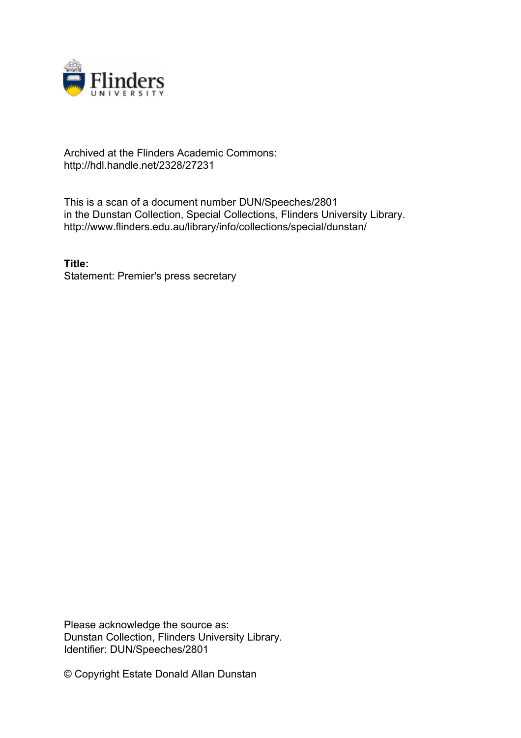

## Archived at the Flinders Academic Commons: http://hdl.handle.net/2328/27231

This is a scan of a document number DUN/Speeches/2801 in the Dunstan Collection, Special Collections, Flinders University Library. http://www.flinders.edu.au/library/info/collections/special/dunstan/

**Title:** Statement: Premier's press secretary

Please acknowledge the source as: Dunstan Collection, Flinders University Library. Identifier: DUN/Speeches/2801

© Copyright Estate Donald Allan Dunstan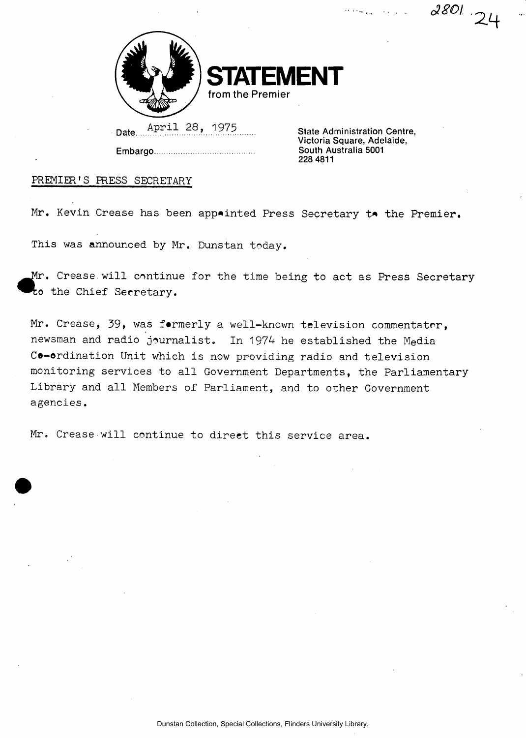$\frac{1}{2}$  ,  $\frac{1}{2}$ 

 $2801.24$ 



ENT **from the Premier** 

Date... April 28, 1975

Embargo

**State Administration Centre, Victoria Square, Adelaide, South Australia 5001 228 4811** 

## PREMIER'S PRESS SECRETARY

Mr. Kevin Crease has been appointed Press Secretary to the Premier.

This was announced by Mr. Dunstan today.

Mr. Crease will continue for the time being to act as Press Secretary to the Chief Secretary.

Mr. Crease, 39, was formerly a well-known television commentator, newsman and radio journalist. In 1974 he established the Media Co-ordination Unit which is now providing radio and television monitoring services to all Government Departments, the Parliamentary Library and all Members of Parliament, and to other Government agencies.

Mr. Crease will continue to direct this service area.